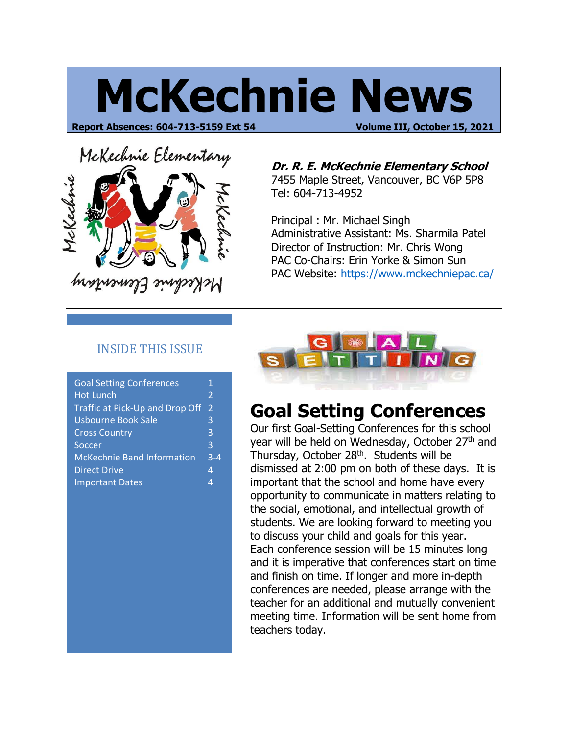# **McKechnie News**

**Report Absences: 604-713-5159 Ext 54 Volume III, October 15, 2021**



**Dr. R. E. McKechnie Elementary School**

7455 Maple Street, Vancouver, BC V6P 5P8 Tel: 604-713-4952

Principal : Mr. Michael Singh Administrative Assistant: Ms. Sharmila Patel Director of Instruction: Mr. Chris Wong PAC Co-Chairs: Erin Yorke & Simon Sun PAC Website:<https://www.mckechniepac.ca/>

#### INSIDE THIS ISSUE

| <b>Goal Setting Conferences</b>   | 1                        |
|-----------------------------------|--------------------------|
| <b>Hot Lunch</b>                  | $\overline{\mathcal{L}}$ |
| Traffic at Pick-Up and Drop Off   | $\overline{\mathcal{L}}$ |
| <b>Usbourne Book Sale</b>         | 3                        |
| <b>Cross Country</b>              | 3                        |
| Soccer                            | 3                        |
| <b>McKechnie Band Information</b> |                          |
| <b>Direct Drive</b>               |                          |
| <b>Important Dates</b>            | Δ                        |
|                                   |                          |



# **Goal Setting Conferences**

Our first Goal-Setting Conferences for this school year will be held on Wednesday, October 27<sup>th</sup> and Thursday, October 28<sup>th</sup>. Students will be dismissed at 2:00 pm on both of these days. It is important that the school and home have every opportunity to communicate in matters relating to the social, emotional, and intellectual growth of students. We are looking forward to meeting you to discuss your child and goals for this year. Each conference session will be 15 minutes long and it is imperative that conferences start on time and finish on time. If longer and more in-depth conferences are needed, please arrange with the teacher for an additional and mutually convenient meeting time. Information will be sent home from teachers today.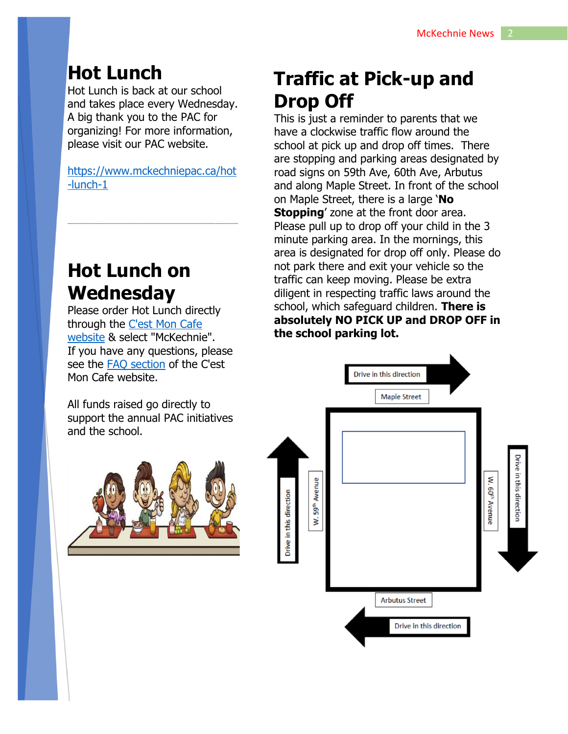## **Hot Lunch**

Hot Lunch is back at our school and takes place every Wednesday. A big thank you to the PAC for organizing! For more information, please visit our PAC website.

[https://www.mckechniepac.ca/hot](https://www.mckechniepac.ca/hot-lunch-1) [-lunch-1](https://www.mckechniepac.ca/hot-lunch-1)

\_\_\_\_\_\_\_\_\_\_\_\_\_\_\_\_\_\_\_\_\_\_\_\_\_\_\_\_\_\_\_\_\_\_\_\_\_

### **Hot Lunch on Wednesday**

Please order Hot Lunch directly through the [C'est Mon Cafe](https://www.cestmoncafe.com/)  [website](https://www.cestmoncafe.com/) & select "McKechnie". If you have any questions, please see the [FAQ section](http://cestmoncafe.com/3/page9.html) of the C'est Mon Cafe website.

All funds raised go directly to support the annual PAC initiatives and the school.



# **Traffic at Pick-up and Drop Off**

This is just a reminder to parents that we have a clockwise traffic flow around the school at pick up and drop off times. There are stopping and parking areas designated by road signs on 59th Ave, 60th Ave, Arbutus and along Maple Street. In front of the school on Maple Street, there is a large '**No Stopping**' zone at the front door area. Please pull up to drop off your child in the 3 minute parking area. In the mornings, this area is designated for drop off only. Please do not park there and exit your vehicle so the traffic can keep moving. Please be extra diligent in respecting traffic laws around the school, which safeguard children. **There is absolutely NO PICK UP and DROP OFF in the school parking lot.**

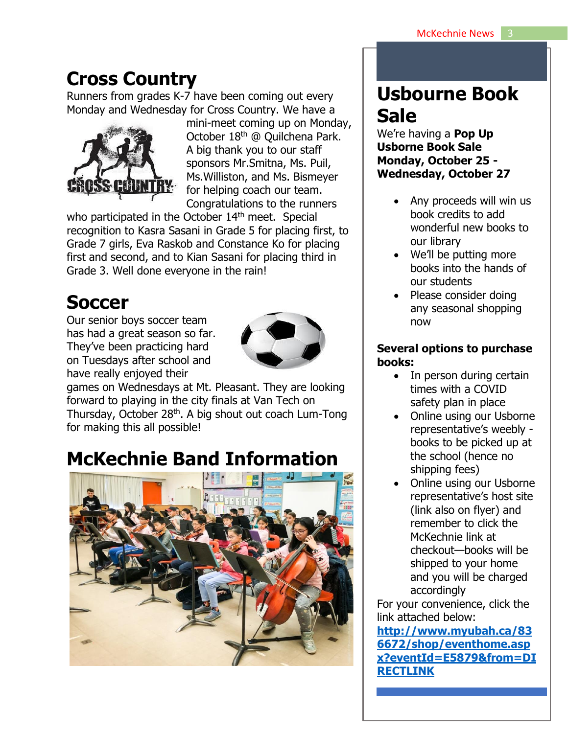#### **Cross Country**

Runners from grades K-7 have been coming out every Monday and Wednesday for Cross Country. We have a



mini-meet coming up on Monday, October 18th @ Quilchena Park. A big thank you to our staff sponsors Mr.Smitna, Ms. Puil, Ms.Williston, and Ms. Bismeyer for helping coach our team. Congratulations to the runners

who participated in the October 14<sup>th</sup> meet. Special recognition to Kasra Sasani in Grade 5 for placing first, to Grade 7 girls, Eva Raskob and Constance Ko for placing first and second, and to Kian Sasani for placing third in Grade 3. Well done everyone in the rain!

# **Soccer**

Our senior boys soccer team has had a great season so far. They've been practicing hard on Tuesdays after school and have really enjoyed their



games on Wednesdays at Mt. Pleasant. They are looking forward to playing in the city finals at Van Tech on Thursday, October 28<sup>th</sup>. A big shout out coach Lum-Tong for making this all possible!

# **McKechnie Band Information**



#### **Usbourne Book Sale**

We're having a **Pop Up Usborne Book Sale Monday, October 25 - Wednesday, October 27**

- Any proceeds will win us book credits to add wonderful new books to our library
- We'll be putting more books into the hands of our students
- Please consider doing any seasonal shopping now

#### **Several options to purchase books:**

- In person during certain times with a COVID safety plan in place
- Online using our Usborne representative's weebly books to be picked up at the school (hence no shipping fees)
- Online using our Usborne representative's host site (link also on flyer) and remember to click the McKechnie link at checkout—books will be shipped to your home and you will be charged accordingly

For your convenience, click the link attached below:

**[http://www.myubah.ca/83](http://www.myubah.ca/836672/shop/eventhome.aspx?eventId=E5879&from=DIRECTLINK) [6672/shop/eventhome.asp](http://www.myubah.ca/836672/shop/eventhome.aspx?eventId=E5879&from=DIRECTLINK) [x?eventId=E5879&from=DI](http://www.myubah.ca/836672/shop/eventhome.aspx?eventId=E5879&from=DIRECTLINK) [RECTLINK](http://www.myubah.ca/836672/shop/eventhome.aspx?eventId=E5879&from=DIRECTLINK)**